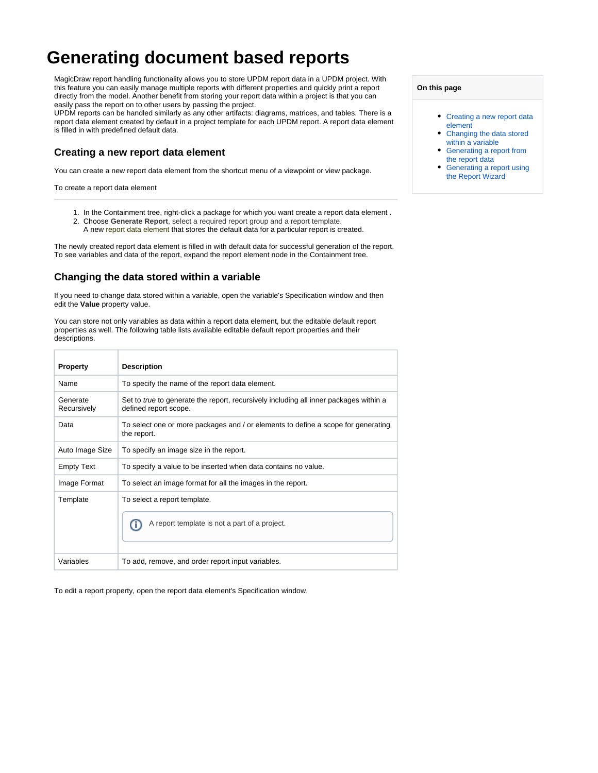# **Generating document based reports**

MagicDraw report handling functionality allows you to store UPDM report data in a UPDM project. With this feature you can easily manage multiple reports with different properties and quickly print a report directly from the model. Another benefit from storing your report data within a project is that you can easily pass the report on to other users by passing the project.

UPDM reports can be handled similarly as any other artifacts: diagrams, matrices, and tables. There is a report data element created by default in a project template for each UPDM report. A report data element is filled in with predefined default data.

# <span id="page-0-0"></span>**Creating a new report data element**

You can create a new report data element from the shortcut menu of a viewpoint or view package.

To create a report data element

- 1. In the Containment tree, right-click a package for which you want create a report data element .
- 2. Choose **Generate Report**, select a required report group and a report template. A new report data element that stores the default data for a particular report is created.

The newly created report data element is filled in with default data for successful generation of the report. To see variables and data of the report, expand the report element node in the Containment tree.

## <span id="page-0-1"></span>**Changing the data stored within a variable**

If you need to change data stored within a variable, open the variable's Specification window and then edit the **Value** property value.

You can store not only variables as data within a report data element, but the editable default report properties as well. The following table lists available editable default report properties and their descriptions.

| <b>Property</b>         | <b>Description</b>                                                                                                    |
|-------------------------|-----------------------------------------------------------------------------------------------------------------------|
| Name                    | To specify the name of the report data element.                                                                       |
| Generate<br>Recursively | Set to <i>true</i> to generate the report, recursively including all inner packages within a<br>defined report scope. |
| Data                    | To select one or more packages and / or elements to define a scope for generating<br>the report.                      |
| Auto Image Size         | To specify an image size in the report.                                                                               |
| <b>Empty Text</b>       | To specify a value to be inserted when data contains no value.                                                        |
| Image Format            | To select an image format for all the images in the report.                                                           |
| Template                | To select a report template.<br>A report template is not a part of a project.                                         |
| Variables               | To add, remove, and order report input variables.                                                                     |

To edit a report property, open the report data element's Specification window.

#### **On this page**

- [Creating a new report data](#page-0-0)  [element](#page-0-0)
- Changing the data stored [within a variable](#page-0-1)
- [Generating a report from](#page-1-0)  [the report data](#page-1-0)
- [Generating a report using](#page-1-1)  [the Report Wizard](#page-1-1)